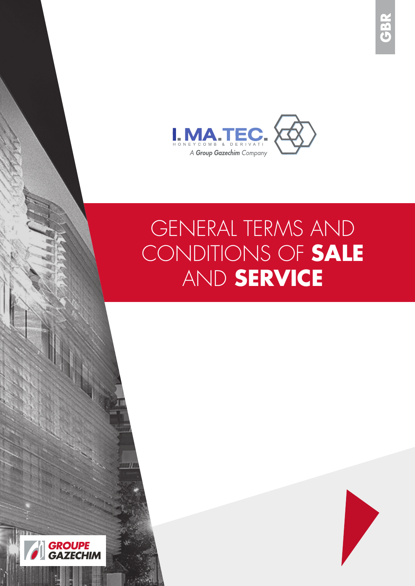

# GENERAL TERMS AND CONDITIONS OF **SALE**  AND **SERVICE**

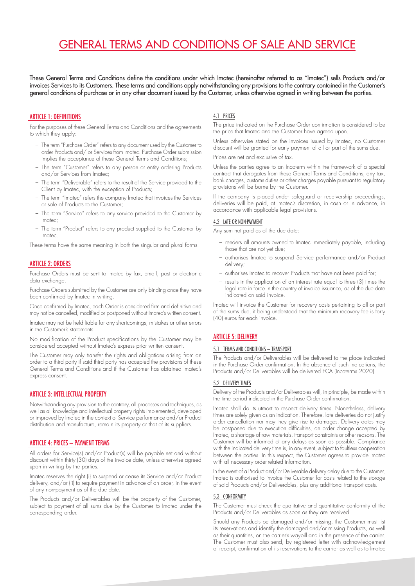## GENERAL TERMS AND CONDITIONS OF SALE AND SERVICE

These General Terms and Conditions define the conditions under which Imatec (hereinafter referred to as "Imatec") sells Products and/or invoices Services to its Customers. These terms and conditions apply notwithstanding any provisions to the contrary contained in the Customer's general conditions of purchase or in any other document issued by the Customer, unless otherwise agreed in writing between the parties.

#### ARTICLE 1: DEFINITIONS

For the purposes of these General Terms and Conditions and the agreements to which they apply:

- The term "Purchase Order" refers to any document used by the Customer to order Products and/ or Services from Imatec. Purchase Order submission implies the acceptance of these General Terms and Conditions;
- The term "Customer" refers to any person or entity ordering Products and/or Services from Imatec;
- The term "Deliverable" refers to the result of the Service provided to the Client by Imatec, with the exception of Products;
- The term "Imatec" refers the company Imatec that invoices the Services or sale of Products to the Customer;
- The term "Service" refers to any service provided to the Customer by Imatec;
- The term "Product" refers to any product supplied to the Customer by Imatec.

These terms have the same meaning in both the singular and plural forms.

#### ARTICLE 2: ORDERS

Purchase Orders must be sent to Imatec by fax, email, post or electronic data exchange.

Purchase Orders submitted by the Customer are only binding once they have been confirmed by Imatec in writing.

Once confirmed by Imatec, each Order is considered firm and definitive and may not be cancelled, modified or postponed without Imatec's written consent.

Imatec may not be held liable for any shortcomings, mistakes or other errors in the Customer's statements.

No modification of the Product specifications by the Customer may be considered accepted without Imatec's express prior written consent.

The Customer may only transfer the rights and obligations arising from an order to a third party if said third party has accepted the provisions of these General Terms and Conditions and if the Customer has obtained Imatec's express consent.

#### ARTICLE 3: INTELLECTUAL PROPERTY

Notwithstanding any provision to the contrary, all processes and techniques, as well as all knowledge and intellectual property rights implemented, developed or improved by Imatec in the context of Service performance and/or Product distribution and manufacture, remain its property or that of its suppliers.

#### ARTICLE 4: PRICES – PAYMENT TERMS

All orders for Service(s) and/or Product(s) will be payable net and without discount within thirty (30) days of the invoice date, unless otherwise agreed upon in writing by the parties.

Imatec reserves the right (i) to suspend or cease its Service and/or Product delivery, and/or (ii) to require payment in advance of an order, in the event of any non-payment as of the due date.

The Products and/or Deliverables will be the property of the Customer, subject to payment of all sums due by the Customer to Imatec under the corresponding order.

#### 4.1 PRICES

The price indicated on the Purchase Order confirmation is considered to be the price that Imatec and the Customer have agreed upon.

Unless otherwise stated on the invoices issued by Imatec, no Customer discount will be granted for early payment of all or part of the sums due.

Prices are net and exclusive of tax.

Unless the parties agree to an Incoterm within the framework of a special contract that derogates from these General Terms and Conditions, any tax, bank charges, customs duties or other charges payable pursuant to regulatory provisions will be borne by the Customer.

If the company is placed under safeguard or receivership proceedings, deliveries will be paid, at Imatec's discretion, in cash or in advance, in accordance with applicable legal provisions.

#### 4.2 LATE OR NON-PAYMENT

Any sum not paid as of the due date:

- renders all amounts owned to Imatec immediately payable, including those that are not yet due;
- authorises Imatec to suspend Service performance and/or Product delivery;
- authorises Imatec to recover Products that have not been paid for;
- results in the application of an interest rate equal to three (3) times the legal rate in force in the country of invoice issuance, as of the due date indicated on said invoice.

Imatec will invoice the Customer for recovery costs pertaining to all or part of the sums due, it being understood that the minimum recovery fee is forty (40) euros for each invoice.

#### ARTICLE 5: DELIVERY

#### 5.1 TERMS AND CONDITIONS – TRANSPORT

The Products and/or Deliverables will be delivered to the place indicated in the Purchase Order confirmation. In the absence of such indications, the Products and/or Deliverables will be delivered FCA (Incoterms 2020).

#### 5.2 DELIVERY TIMES

Delivery of the Products and/or Deliverables will, in principle, be made within the time period indicated in the Purchase Order confirmation.

Imatec shall do its utmost to respect delivery times. Nonetheless, delivery times are solely given as an indication. Therefore, late deliveries do not justify order cancellation nor may they give rise to damages. Delivery dates may be postponed due to execution difficulties, an order change accepted by Imatec, a shortage of raw materials, transport constraints or other reasons. The Customer will be informed of any delays as soon as possible. Compliance with the indicated delivery time is, in any event, subject to faultless cooperation between the parties. In this respect, the Customer agrees to provide Imatec with all necessary order-related information.

In the event of a Product and/or Deliverable delivery delay due to the Customer, Imatec is authorised to invoice the Customer for costs related to the storage of said Products and/or Deliverables, plus any additional transport costs.

#### 5.3 CONFORMITY

The Customer must check the qualitative and quantitative conformity of the Products and/or Deliverables as soon as they are received.

Should any Products be damaged and/or missing, the Customer must list its reservations and identify the damaged and/or missing Products, as well as their quantities, on the carrier's waybill and in the presence of the carrier. The Customer must also send, by registered letter with acknowledgement of receipt, confirmation of its reservations to the carrier as well as to Imatec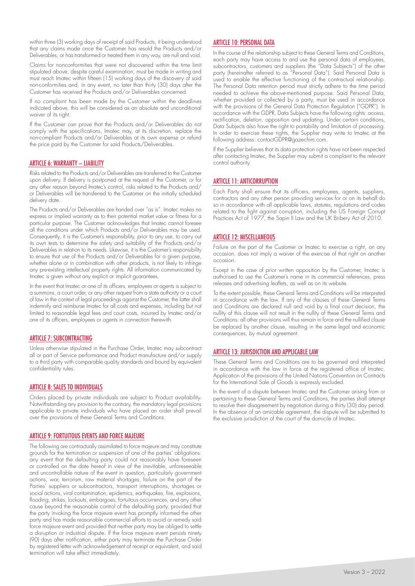within three (3) working days of receipt of said Products, it being understood that any claims made once the Customer has resold the Products and/or Deliverables, or has transformed or treated them in any way, are null and void.

Claims for nonconformities that were not discovered within the time limit stipulated above, despite careful examination, must be made in writing and must reach Imatec within fifteen (15) working days of the discovery of said non-conformities and, in any event, no later than thirty (30) days after the Customer has received the Products and/or Deliverables concerned.

If no complaint has been made by the Customer within the deadlines indicated above, this will be considered as an absolute and unconditional waiver of its right.

If the Customer can prove that the Products and/or Deliverables do not comply with the specifications, Imatec may, at its discretion, replace the non-compliant Products and/or Deliverables at its own expense or refund the price paid by the Customer for said Products/Deliverables.

#### ARTICLE 6: WARRANTY – LIABILITY

Risks related to the Products and/or Deliverables are transferred to the Customer upon delivery. If delivery is postponed at the request of the Customer, or for any other reason beyond Imatec's control, risks related to the Products and/ or Deliverables will be transferred to the Customer on the initially scheduled delivery date.

The Products and/or Deliverables are handed over "as is". Imatec makes no express or implied warranty as to their potential market value or fitness for a particular purpose. The Customer acknowledges that Imatec cannot foresee all the conditions under which Products and/or Deliverables may be used. Consequently, it is the Customer's responsibility, prior to any use, to carry out its own tests to determine the safety and suitability of the Products and/or Deliverables in relation to its needs. Likewise, it is the Customer's responsibility to ensure that use of the Products and/or Deliverables for a given purpose, whether alone or in combination with other products, is not likely to infringe any pre-existing intellectual property rights. All information communicated by Imatec is given without any explicit or implicit guarantees.

In the event that Imatec or one of its officers, employees or agents is subject to a summons, a court order, or any other request from a state authority or a court of law in the context of legal proceedings against the Customer, the latter shall indemnify and reimburse Imatec for all costs and expenses, including but not limited to reasonable legal fees and court costs, incurred by Imatec and/or one of its officers, employees or agents in connection therewith.

#### ARTICLE 7: SUBCONTRACTING

Unless otherwise stipulated in the Purchase Order, Imatec may subcontract all or part of Service performance and Product manufacture and/or supply to a third party with comparable quality standards and bound by equivalent confidentiality rules.

#### ARTICLE 8: SALES TO INDIVIDUALS

Orders placed by private individuals are subject to Product availability. Notwithstanding any provision to the contrary, the mandatory legal provisions applicable to private individuals who have placed an order shall prevail over the provisions of these General Terms and Conditions.

#### ARTICLE 9: FORTUITOUS EVENTS AND FORCE MAJEURE

The following are contractually assimilated to force majeure and may constitute grounds for the termination or suspension of one of the parties' obligations: any event that the defaulting party could not reasonably have foreseen or controlled on the date hereof in view of the inevitable, unforeseeable and uncontrollable nature of the event in question, particularly government actions, war, terrorism, raw material shortages, failure on the part of the Parties' suppliers or subcontractors, transport interruptions, shortages or social actions, viral contamination, epidemics, earthquakes, fire, explosions, flooding, strikes, lockouts, embargoes, fortuitous occurrences, and any other cause beyond the reasonable control of the defaulting party, provided that the party invoking the force majeure event has promptly informed the other party and has made reasonable commercial efforts to avoid or remedy said force majeure event and provided that neither party may be obliged to settle a disruption or industrial dispute. If the force majeure event persists ninety (90) days after notification, either party may terminate the Purchase Order by registered letter with acknowledgement of receipt or equivalent, and said termination will take effect immediately.

#### ARTICLE 10: PERSONAL DATA

In the course of the relationship subject to these General Terms and Conditions, each party may have access to and use the personal data of employees, subcontractors, customers and suppliers (the "Data Subjects") of the other party (hereinafter referred to as "Personal Data"). Said Personal Data is used to enable the effective functioning of the contractual relationship. The Personal Data retention period must strictly adhere to the time period needed to achieve the above-mentioned purpose. Said Personal Data, whether provided or collected by a party, must be used in accordance with the provisions of the General Data Protection Regulation ("GDPR"). In accordance with the GDPR, Data Subjects have the following rights: access, rectification, deletion, opposition and updating. Under certain conditions, Data Subjects also have the right to portability and limitation of processing. In order to exercise these rights, the Supplier may write to Imatec at the following address: contactGDPR@gazechim.com.

If the Supplier believes that its data protection rights have not been respected after contacting Imatec, the Supplier may submit a complaint to the relevant control authority.

#### ARTICLE 11: ANTICORRUPTION

Each Party shall ensure that its officers, employees, agents, suppliers, contractors and any other person providing services for or on its behalf do so in accordance with all applicable laws, statutes, regulations and codes related to the fight against corruption, including the US Foreign Corrupt Practices Act of 1977, the Sapin II Law and the UK Bribery Act of 2010.

#### ARTICLE 12: MISCELLANEOUS

Failure on the part of the Customer or Imatec to exercise a right, on any occasion, does not imply a waiver of the exercise of that right on another occasion.

Except in the case of prior written opposition by the Customer, Imatec is authorised to use the Customer's name in its commercial references, press releases and advertising leaflets, as well as on its website.

To the extent possible, these General Terms and Conditions will be interpreted in accordance with the law. If any of the clauses of these General Terms and Conditions are declared null and void by a final court decision, the nullity of this clause will not result in the nullity of these General Terms and Conditions: all other provisions will thus remain in force and the nullified clause be replaced by another clause, resulting in the same legal and economic consequences, by mutual agreement.

#### ARTICLE 13: JURISDICTION AND APPLICABLE LAW

These General Terms and Conditions are to be governed and interpreted in accordance with the law in force at the registered office of Imatec. Application of the provisions of the United Nations Convention on Contracts for the International Sale of Goods is expressly excluded.

In the event of a dispute between Imatec and the Customer arising from or pertaining to these General Terms and Conditions, the parties shall attempt to resolve their disagreement by negotiation during a thirty (30) day period. In the absence of an amicable agreement, the dispute will be submitted to the exclusive jurisdiction of the court of the domicile of Imatec.